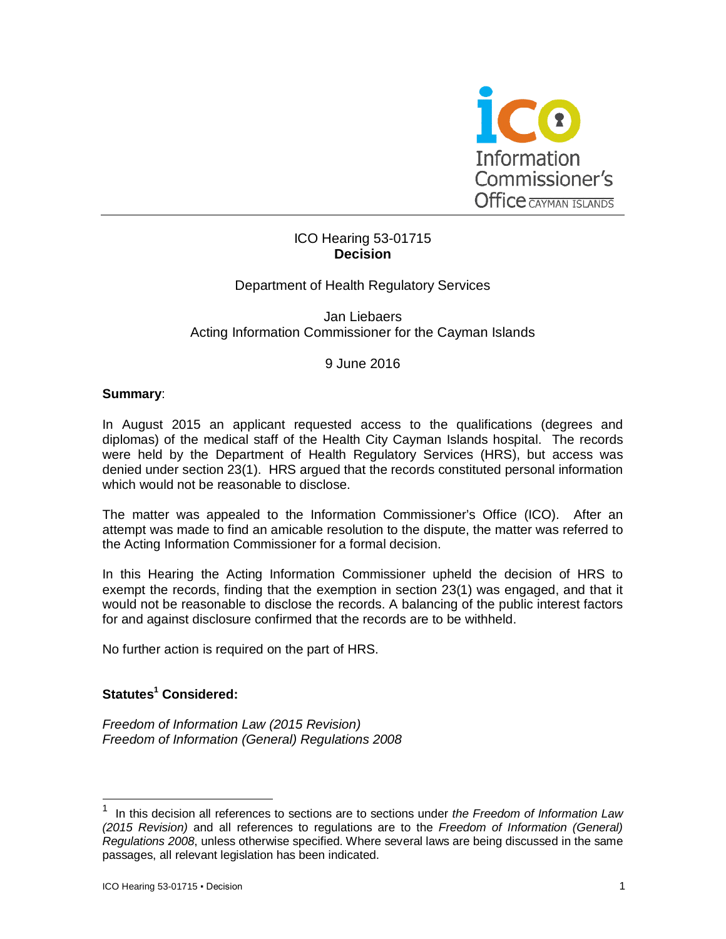

## ICO Hearing 53-01715 **Decision**

## Department of Health Regulatory Services

Jan Liebaers Acting Information Commissioner for the Cayman Islands

### 9 June 2016

#### **Summary**:

In August 2015 an applicant requested access to the qualifications (degrees and diplomas) of the medical staff of the Health City Cayman Islands hospital. The records were held by the Department of Health Regulatory Services (HRS), but access was denied under section 23(1). HRS argued that the records constituted personal information which would not be reasonable to disclose.

The matter was appealed to the Information Commissioner's Office (ICO). After an attempt was made to find an amicable resolution to the dispute, the matter was referred to the Acting Information Commissioner for a formal decision.

In this Hearing the Acting Information Commissioner upheld the decision of HRS to exempt the records, finding that the exemption in section 23(1) was engaged, and that it would not be reasonable to disclose the records. A balancing of the public interest factors for and against disclosure confirmed that the records are to be withheld.

No further action is required on the part of HRS.

## **Statutes<sup>1</sup> Considered:**

*Freedom of Information Law (2015 Revision) Freedom of Information (General) Regulations 2008*

-

<sup>1</sup> In this decision all references to sections are to sections under *the Freedom of Information Law (2015 Revision)* and all references to regulations are to the *Freedom of Information (General) Regulations 2008*, unless otherwise specified. Where several laws are being discussed in the same passages, all relevant legislation has been indicated.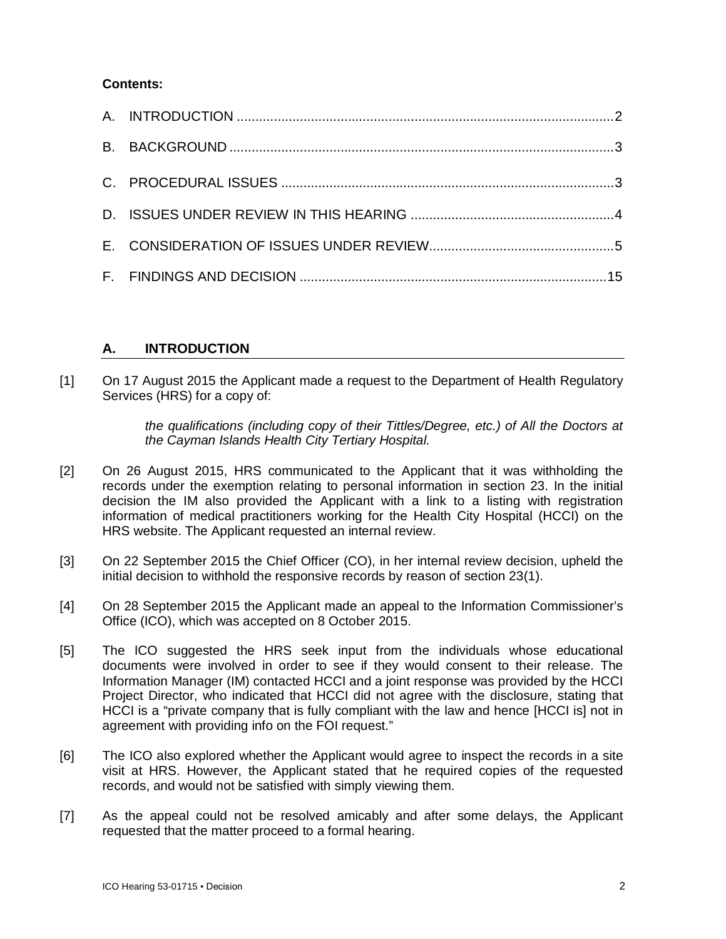### **Contents:**

# **A. INTRODUCTION**

[1] On 17 August 2015 the Applicant made a request to the Department of Health Regulatory Services (HRS) for a copy of:

> *the qualifications (including copy of their Tittles/Degree, etc.) of All the Doctors at the Cayman Islands Health City Tertiary Hospital.*

- [2] On 26 August 2015, HRS communicated to the Applicant that it was withholding the records under the exemption relating to personal information in section 23. In the initial decision the IM also provided the Applicant with a link to a listing with registration information of medical practitioners working for the Health City Hospital (HCCI) on the HRS website. The Applicant requested an internal review.
- [3] On 22 September 2015 the Chief Officer (CO), in her internal review decision, upheld the initial decision to withhold the responsive records by reason of section 23(1).
- [4] On 28 September 2015 the Applicant made an appeal to the Information Commissioner's Office (ICO), which was accepted on 8 October 2015.
- [5] The ICO suggested the HRS seek input from the individuals whose educational documents were involved in order to see if they would consent to their release. The Information Manager (IM) contacted HCCI and a joint response was provided by the HCCI Project Director, who indicated that HCCI did not agree with the disclosure, stating that HCCI is a "private company that is fully compliant with the law and hence [HCCI is] not in agreement with providing info on the FOI request."
- [6] The ICO also explored whether the Applicant would agree to inspect the records in a site visit at HRS. However, the Applicant stated that he required copies of the requested records, and would not be satisfied with simply viewing them.
- [7] As the appeal could not be resolved amicably and after some delays, the Applicant requested that the matter proceed to a formal hearing.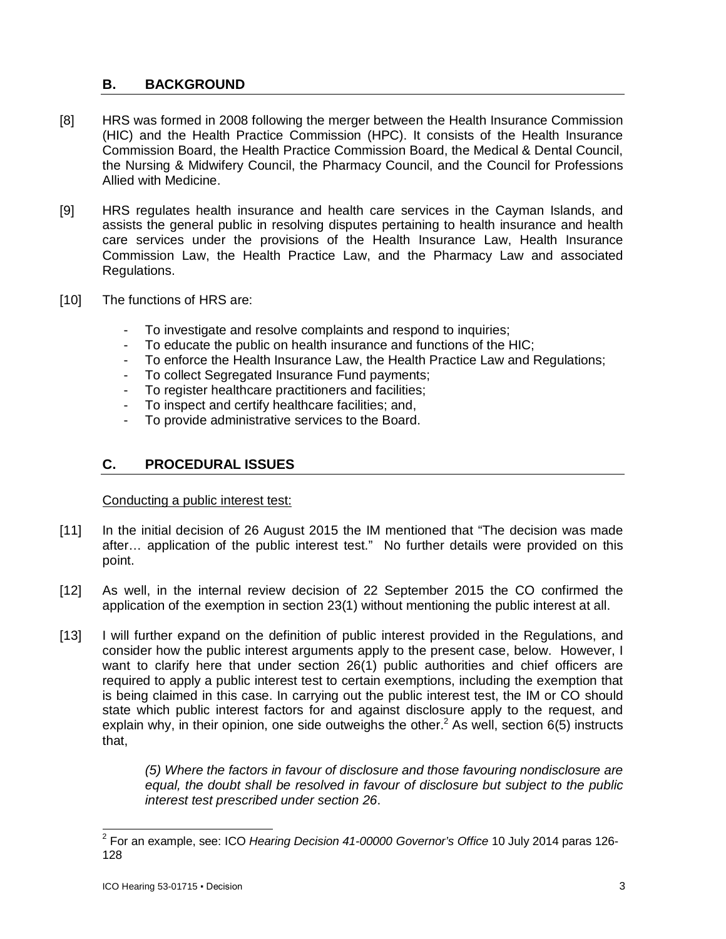# **B. BACKGROUND**

- [8] HRS was formed in 2008 following the merger between the Health Insurance Commission (HIC) and the Health Practice Commission (HPC). It consists of the Health Insurance Commission Board, the Health Practice Commission Board, the Medical & Dental Council, the Nursing & Midwifery Council, the Pharmacy Council, and the Council for Professions Allied with Medicine.
- [9] HRS regulates health insurance and health care services in the Cayman Islands, and assists the general public in resolving disputes pertaining to health insurance and health care services under the provisions of the Health Insurance Law, Health Insurance Commission Law, the Health Practice Law, and the Pharmacy Law and associated Regulations.
- [10] The functions of HRS are:
	- To investigate and resolve complaints and respond to inquiries;
	- To educate the public on health insurance and functions of the HIC;
	- To enforce the Health Insurance Law, the Health Practice Law and Regulations;
	- To collect Segregated Insurance Fund payments;
	- To register healthcare practitioners and facilities;
	- To inspect and certify healthcare facilities; and,
	- To provide administrative services to the Board.

## **C. PROCEDURAL ISSUES**

Conducting a public interest test:

- [11] In the initial decision of 26 August 2015 the IM mentioned that "The decision was made after… application of the public interest test." No further details were provided on this point.
- [12] As well, in the internal review decision of 22 September 2015 the CO confirmed the application of the exemption in section 23(1) without mentioning the public interest at all.
- [13] I will further expand on the definition of public interest provided in the Regulations, and consider how the public interest arguments apply to the present case, below. However, I want to clarify here that under section 26(1) public authorities and chief officers are required to apply a public interest test to certain exemptions, including the exemption that is being claimed in this case. In carrying out the public interest test, the IM or CO should state which public interest factors for and against disclosure apply to the request, and explain why, in their opinion, one side outweighs the other.<sup>2</sup> As well, section 6(5) instructs that,

*(5) Where the factors in favour of disclosure and those favouring nondisclosure are equal, the doubt shall be resolved in favour of disclosure but subject to the public interest test prescribed under section 26*.

 2 For an example, see: ICO *Hearing Decision 41-00000 Governor's Office* 10 July 2014 paras 126- 128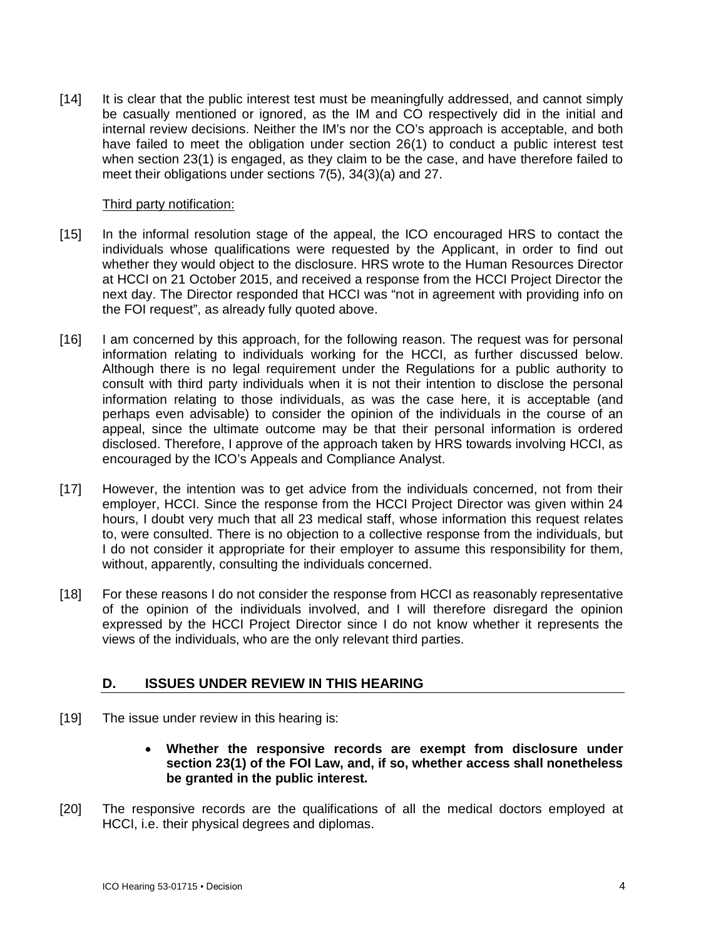[14] It is clear that the public interest test must be meaningfully addressed, and cannot simply be casually mentioned or ignored, as the IM and CO respectively did in the initial and internal review decisions. Neither the IM's nor the CO's approach is acceptable, and both have failed to meet the obligation under section 26(1) to conduct a public interest test when section 23(1) is engaged, as they claim to be the case, and have therefore failed to meet their obligations under sections 7(5), 34(3)(a) and 27.

### Third party notification:

- [15] In the informal resolution stage of the appeal, the ICO encouraged HRS to contact the individuals whose qualifications were requested by the Applicant, in order to find out whether they would object to the disclosure. HRS wrote to the Human Resources Director at HCCI on 21 October 2015, and received a response from the HCCI Project Director the next day. The Director responded that HCCI was "not in agreement with providing info on the FOI request", as already fully quoted above.
- [16] I am concerned by this approach, for the following reason. The request was for personal information relating to individuals working for the HCCI, as further discussed below. Although there is no legal requirement under the Regulations for a public authority to consult with third party individuals when it is not their intention to disclose the personal information relating to those individuals, as was the case here, it is acceptable (and perhaps even advisable) to consider the opinion of the individuals in the course of an appeal, since the ultimate outcome may be that their personal information is ordered disclosed. Therefore, I approve of the approach taken by HRS towards involving HCCI, as encouraged by the ICO's Appeals and Compliance Analyst.
- [17] However, the intention was to get advice from the individuals concerned, not from their employer, HCCI. Since the response from the HCCI Project Director was given within 24 hours, I doubt very much that all 23 medical staff, whose information this request relates to, were consulted. There is no objection to a collective response from the individuals, but I do not consider it appropriate for their employer to assume this responsibility for them, without, apparently, consulting the individuals concerned.
- [18] For these reasons I do not consider the response from HCCI as reasonably representative of the opinion of the individuals involved, and I will therefore disregard the opinion expressed by the HCCI Project Director since I do not know whether it represents the views of the individuals, who are the only relevant third parties.

### **D. ISSUES UNDER REVIEW IN THIS HEARING**

- [19] The issue under review in this hearing is:
	- **Whether the responsive records are exempt from disclosure under section 23(1) of the FOI Law, and, if so, whether access shall nonetheless be granted in the public interest.**
- [20] The responsive records are the qualifications of all the medical doctors employed at HCCI, i.e. their physical degrees and diplomas.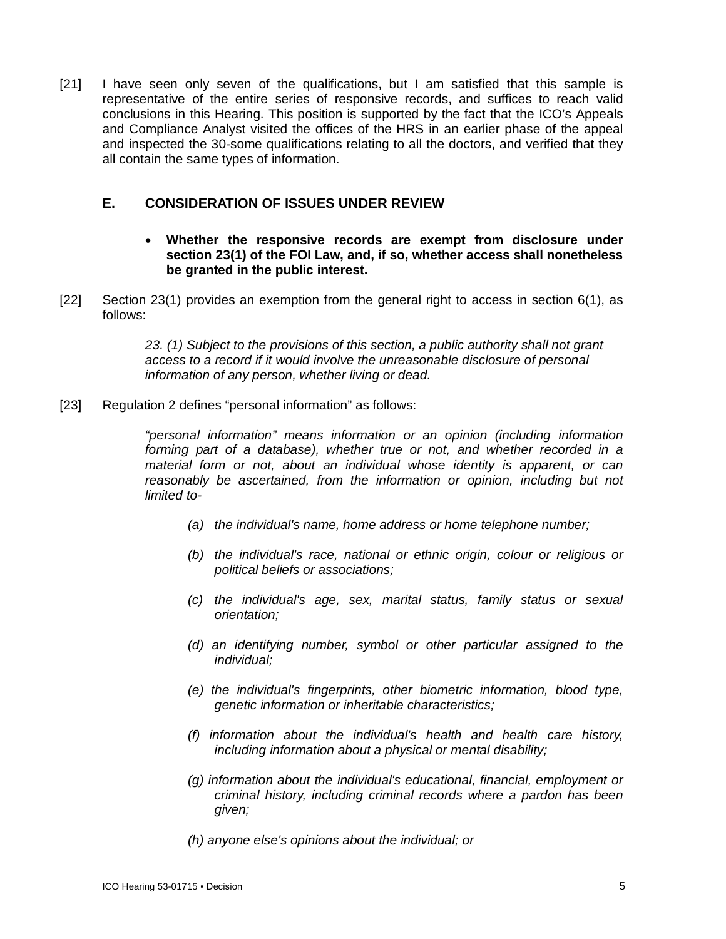[21] I have seen only seven of the qualifications, but I am satisfied that this sample is representative of the entire series of responsive records, and suffices to reach valid conclusions in this Hearing. This position is supported by the fact that the ICO's Appeals and Compliance Analyst visited the offices of the HRS in an earlier phase of the appeal and inspected the 30-some qualifications relating to all the doctors, and verified that they all contain the same types of information.

### **E. CONSIDERATION OF ISSUES UNDER REVIEW**

- **Whether the responsive records are exempt from disclosure under section 23(1) of the FOI Law, and, if so, whether access shall nonetheless be granted in the public interest.**
- [22] Section 23(1) provides an exemption from the general right to access in section 6(1), as follows:

*23. (1) Subject to the provisions of this section, a public authority shall not grant access to a record if it would involve the unreasonable disclosure of personal information of any person, whether living or dead.*

[23] Regulation 2 defines "personal information" as follows:

*"personal information" means information or an opinion (including information forming part of a database), whether true or not, and whether recorded in a material form or not, about an individual whose identity is apparent, or can*  reasonably be ascertained, from the information or opinion, including but not *limited to-*

- *(a) the individual's name, home address or home telephone number;*
- *(b) the individual's race, national or ethnic origin, colour or religious or political beliefs or associations;*
- *(c) the individual's age, sex, marital status, family status or sexual orientation;*
- *(d) an identifying number, symbol or other particular assigned to the individual;*
- *(e) the individual's fingerprints, other biometric information, blood type, genetic information or inheritable characteristics;*
- *(f) information about the individual's health and health care history, including information about a physical or mental disability;*
- *(g) information about the individual's educational, financial, employment or criminal history, including criminal records where a pardon has been given;*
- *(h) anyone else's opinions about the individual; or*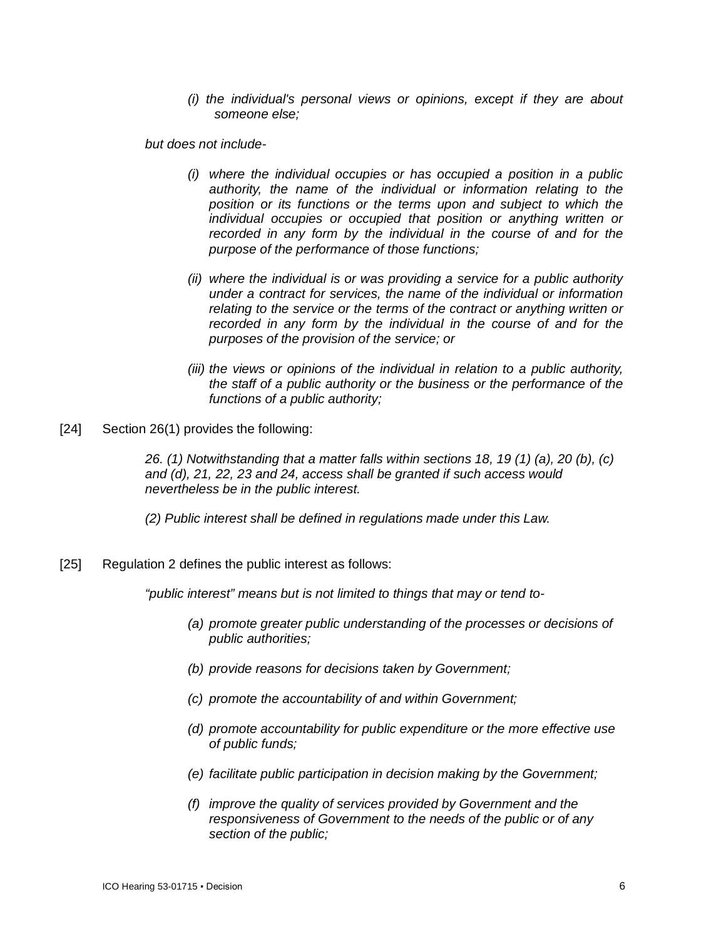*(i) the individual's personal views or opinions, except if they are about someone else;*

*but does not include-*

- *(i) where the individual occupies or has occupied a position in a public authority, the name of the individual or information relating to the position or its functions or the terms upon and subject to which the individual occupies or occupied that position or anything written or recorded in any form by the individual in the course of and for the purpose of the performance of those functions;*
- *(ii) where the individual is or was providing a service for a public authority under a contract for services, the name of the individual or information relating to the service or the terms of the contract or anything written or recorded in any form by the individual in the course of and for the purposes of the provision of the service; or*
- *(iii) the views or opinions of the individual in relation to a public authority, the staff of a public authority or the business or the performance of the functions of a public authority;*
- [24] Section 26(1) provides the following:

*26. (1) Notwithstanding that a matter falls within sections 18, 19 (1) (a), 20 (b), (c) and (d), 21, 22, 23 and 24, access shall be granted if such access would nevertheless be in the public interest.*

*(2) Public interest shall be defined in regulations made under this Law.*

[25] Regulation 2 defines the public interest as follows:

*"public interest" means but is not limited to things that may or tend to-*

- *(a) promote greater public understanding of the processes or decisions of public authorities;*
- *(b) provide reasons for decisions taken by Government;*
- *(c) promote the accountability of and within Government;*
- *(d) promote accountability for public expenditure or the more effective use of public funds;*
- *(e) facilitate public participation in decision making by the Government;*
- *(f) improve the quality of services provided by Government and the responsiveness of Government to the needs of the public or of any section of the public;*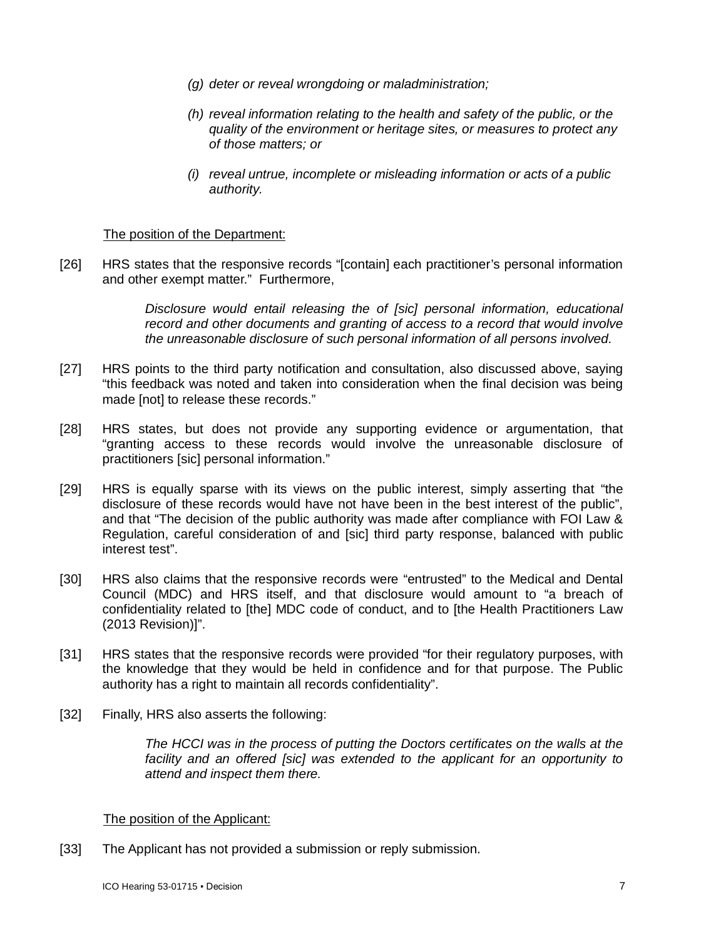- *(g) deter or reveal wrongdoing or maladministration;*
- *(h) reveal information relating to the health and safety of the public, or the quality of the environment or heritage sites, or measures to protect any of those matters; or*
- *(i) reveal untrue, incomplete or misleading information or acts of a public authority.*

### The position of the Department:

[26] HRS states that the responsive records "[contain] each practitioner's personal information and other exempt matter." Furthermore,

> *Disclosure would entail releasing the of [sic] personal information, educational record and other documents and granting of access to a record that would involve the unreasonable disclosure of such personal information of all persons involved.*

- [27] HRS points to the third party notification and consultation, also discussed above, saying "this feedback was noted and taken into consideration when the final decision was being made [not] to release these records."
- [28] HRS states, but does not provide any supporting evidence or argumentation, that "granting access to these records would involve the unreasonable disclosure of practitioners [sic] personal information."
- [29] HRS is equally sparse with its views on the public interest, simply asserting that "the disclosure of these records would have not have been in the best interest of the public", and that "The decision of the public authority was made after compliance with FOI Law & Regulation, careful consideration of and [sic] third party response, balanced with public interest test".
- [30] HRS also claims that the responsive records were "entrusted" to the Medical and Dental Council (MDC) and HRS itself, and that disclosure would amount to "a breach of confidentiality related to [the] MDC code of conduct, and to [the Health Practitioners Law (2013 Revision)]".
- [31] HRS states that the responsive records were provided "for their regulatory purposes, with the knowledge that they would be held in confidence and for that purpose. The Public authority has a right to maintain all records confidentiality".
- [32] Finally, HRS also asserts the following:

*The HCCI was in the process of putting the Doctors certificates on the walls at the facility and an offered [sic] was extended to the applicant for an opportunity to attend and inspect them there.*

#### The position of the Applicant:

[33] The Applicant has not provided a submission or reply submission.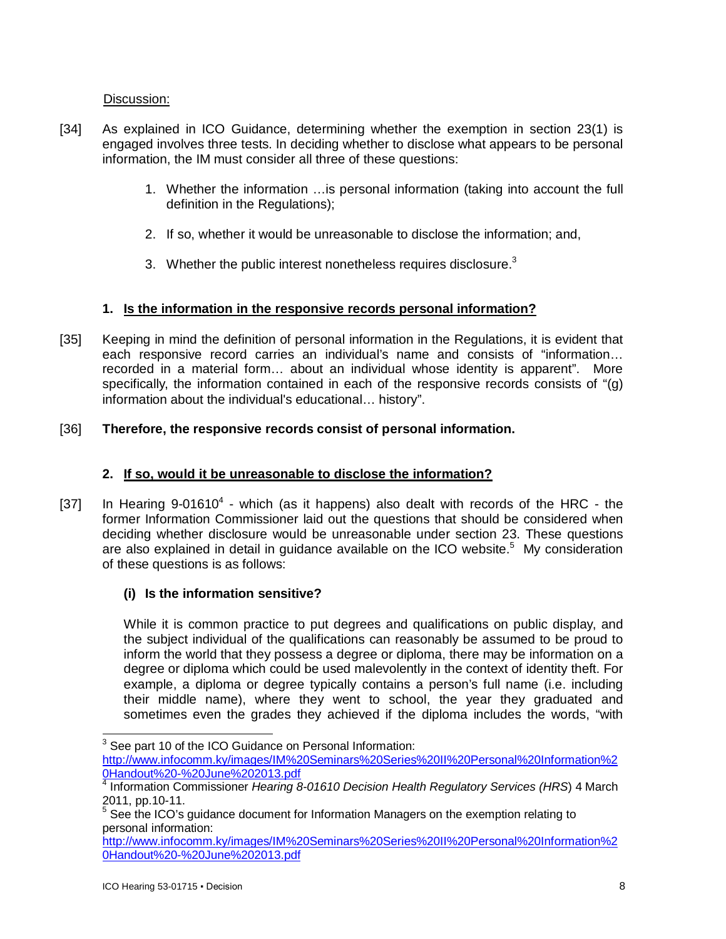Discussion:

- [34] As explained in ICO Guidance, determining whether the exemption in section 23(1) is engaged involves three tests. In deciding whether to disclose what appears to be personal information, the IM must consider all three of these questions:
	- 1. Whether the information …is personal information (taking into account the full definition in the Regulations);
	- 2. If so, whether it would be unreasonable to disclose the information; and,
	- 3. Whether the public interest nonetheless requires disclosure. $3$

## **1. Is the information in the responsive records personal information?**

[35] Keeping in mind the definition of personal information in the Regulations, it is evident that each responsive record carries an individual's name and consists of "information… recorded in a material form… about an individual whose identity is apparent". More specifically, the information contained in each of the responsive records consists of "(g) information about the individual's educational… history".

## [36] **Therefore, the responsive records consist of personal information.**

# **2. If so, would it be unreasonable to disclose the information?**

[37] In Hearing  $9-01610^4$  - which (as it happens) also dealt with records of the HRC - the former Information Commissioner laid out the questions that should be considered when deciding whether disclosure would be unreasonable under section 23. These questions are also explained in detail in guidance available on the ICO website. $5$  My consideration of these questions is as follows:

# **(i) Is the information sensitive?**

While it is common practice to put degrees and qualifications on public display, and the subject individual of the qualifications can reasonably be assumed to be proud to inform the world that they possess a degree or diploma, there may be information on a degree or diploma which could be used malevolently in the context of identity theft. For example, a diploma or degree typically contains a person's full name (i.e. including their middle name), where they went to school, the year they graduated and sometimes even the grades they achieved if the diploma includes the words, "with

j

 $3$  See part 10 of the ICO Guidance on Personal Information:

<http://www.infocomm.ky/images/IM%20Seminars%20Series%20II%20Personal%20Information%2> 0Handout%20-%20June%202013.pdf 4

Information Commissioner *Hearing 8-01610 Decision Health Regulatory Services (HRS*) 4 March 2011, pp.10-11.

 $5$  See the ICO's quidance document for Information Managers on the exemption relating to personal information:

<http://www.infocomm.ky/images/IM%20Seminars%20Series%20II%20Personal%20Information%2> 0Handout%20-%20June%202013.pdf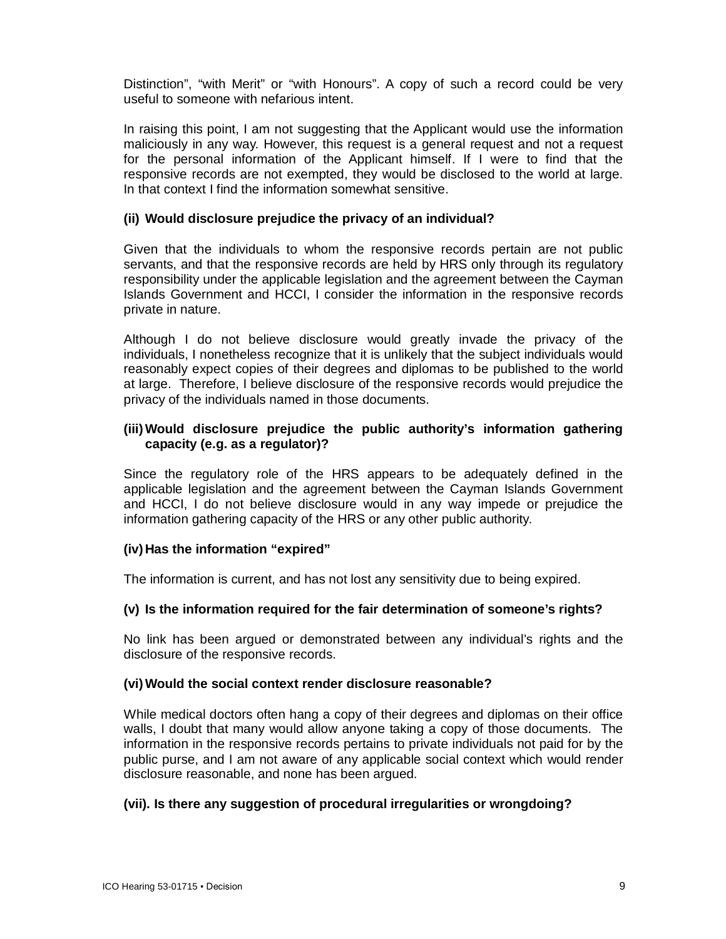Distinction", "with Merit" or "with Honours". A copy of such a record could be very useful to someone with nefarious intent.

In raising this point, I am not suggesting that the Applicant would use the information maliciously in any way. However, this request is a general request and not a request for the personal information of the Applicant himself. If I were to find that the responsive records are not exempted, they would be disclosed to the world at large. In that context I find the information somewhat sensitive.

### **(ii) Would disclosure prejudice the privacy of an individual?**

Given that the individuals to whom the responsive records pertain are not public servants, and that the responsive records are held by HRS only through its regulatory responsibility under the applicable legislation and the agreement between the Cayman Islands Government and HCCI, I consider the information in the responsive records private in nature.

Although I do not believe disclosure would greatly invade the privacy of the individuals, I nonetheless recognize that it is unlikely that the subject individuals would reasonably expect copies of their degrees and diplomas to be published to the world at large. Therefore, I believe disclosure of the responsive records would prejudice the privacy of the individuals named in those documents.

### **(iii)Would disclosure prejudice the public authority's information gathering capacity (e.g. as a regulator)?**

Since the regulatory role of the HRS appears to be adequately defined in the applicable legislation and the agreement between the Cayman Islands Government and HCCI, I do not believe disclosure would in any way impede or prejudice the information gathering capacity of the HRS or any other public authority.

### **(iv) Has the information "expired"**

The information is current, and has not lost any sensitivity due to being expired.

#### **(v) Is the information required for the fair determination of someone's rights?**

No link has been argued or demonstrated between any individual's rights and the disclosure of the responsive records.

#### **(vi)Would the social context render disclosure reasonable?**

While medical doctors often hang a copy of their degrees and diplomas on their office walls, I doubt that many would allow anyone taking a copy of those documents. The information in the responsive records pertains to private individuals not paid for by the public purse, and I am not aware of any applicable social context which would render disclosure reasonable, and none has been argued.

#### **(vii). Is there any suggestion of procedural irregularities or wrongdoing?**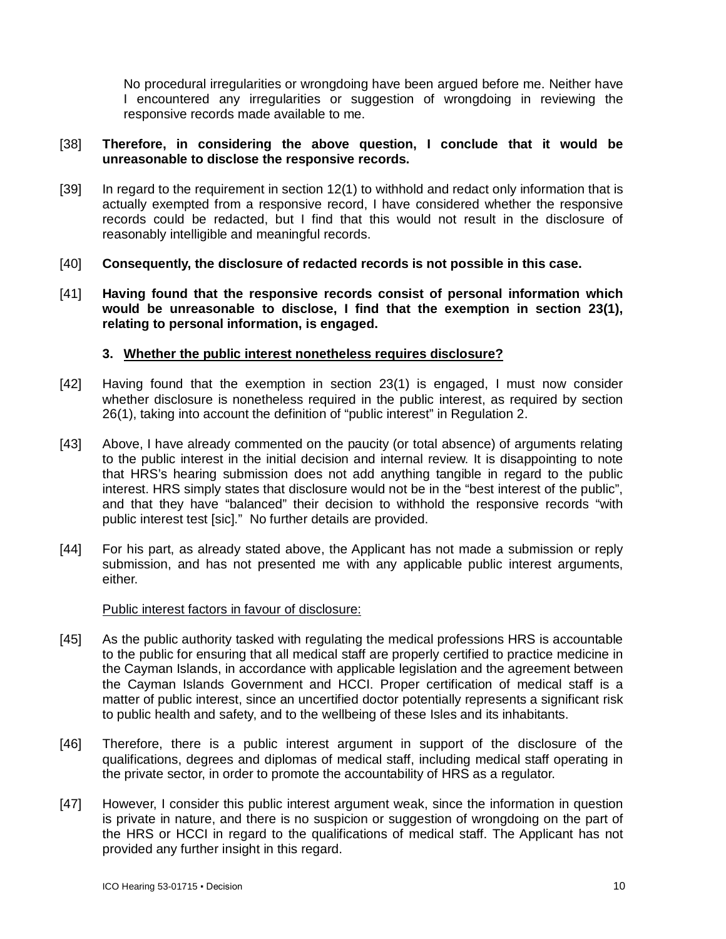No procedural irregularities or wrongdoing have been argued before me. Neither have I encountered any irregularities or suggestion of wrongdoing in reviewing the responsive records made available to me.

### [38] **Therefore, in considering the above question, I conclude that it would be unreasonable to disclose the responsive records.**

- [39] In regard to the requirement in section 12(1) to withhold and redact only information that is actually exempted from a responsive record, I have considered whether the responsive records could be redacted, but I find that this would not result in the disclosure of reasonably intelligible and meaningful records.
- [40] **Consequently, the disclosure of redacted records is not possible in this case.**
- [41] **Having found that the responsive records consist of personal information which would be unreasonable to disclose, I find that the exemption in section 23(1), relating to personal information, is engaged.**

### **3. Whether the public interest nonetheless requires disclosure?**

- [42] Having found that the exemption in section 23(1) is engaged, I must now consider whether disclosure is nonetheless required in the public interest, as required by section 26(1), taking into account the definition of "public interest" in Regulation 2.
- [43] Above, I have already commented on the paucity (or total absence) of arguments relating to the public interest in the initial decision and internal review. It is disappointing to note that HRS's hearing submission does not add anything tangible in regard to the public interest. HRS simply states that disclosure would not be in the "best interest of the public", and that they have "balanced" their decision to withhold the responsive records "with public interest test [sic]." No further details are provided.
- [44] For his part, as already stated above, the Applicant has not made a submission or reply submission, and has not presented me with any applicable public interest arguments, either.

#### Public interest factors in favour of disclosure:

- [45] As the public authority tasked with regulating the medical professions HRS is accountable to the public for ensuring that all medical staff are properly certified to practice medicine in the Cayman Islands, in accordance with applicable legislation and the agreement between the Cayman Islands Government and HCCI. Proper certification of medical staff is a matter of public interest, since an uncertified doctor potentially represents a significant risk to public health and safety, and to the wellbeing of these Isles and its inhabitants.
- [46] Therefore, there is a public interest argument in support of the disclosure of the qualifications, degrees and diplomas of medical staff, including medical staff operating in the private sector, in order to promote the accountability of HRS as a regulator.
- [47] However, I consider this public interest argument weak, since the information in question is private in nature, and there is no suspicion or suggestion of wrongdoing on the part of the HRS or HCCI in regard to the qualifications of medical staff. The Applicant has not provided any further insight in this regard.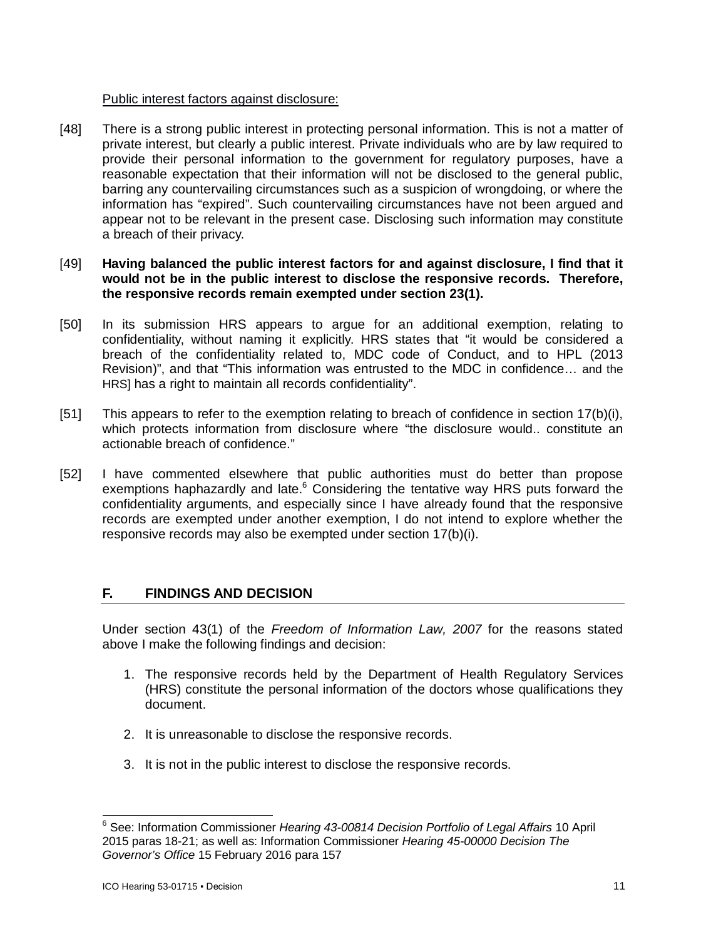### Public interest factors against disclosure:

[48] There is a strong public interest in protecting personal information. This is not a matter of private interest, but clearly a public interest. Private individuals who are by law required to provide their personal information to the government for regulatory purposes, have a reasonable expectation that their information will not be disclosed to the general public, barring any countervailing circumstances such as a suspicion of wrongdoing, or where the information has "expired". Such countervailing circumstances have not been argued and appear not to be relevant in the present case. Disclosing such information may constitute a breach of their privacy.

### [49] **Having balanced the public interest factors for and against disclosure, I find that it would not be in the public interest to disclose the responsive records. Therefore, the responsive records remain exempted under section 23(1).**

- [50] In its submission HRS appears to argue for an additional exemption, relating to confidentiality, without naming it explicitly. HRS states that "it would be considered a breach of the confidentiality related to, MDC code of Conduct, and to HPL (2013 Revision)", and that "This information was entrusted to the MDC in confidence… and the HRS] has a right to maintain all records confidentiality".
- [51] This appears to refer to the exemption relating to breach of confidence in section 17(b)(i), which protects information from disclosure where "the disclosure would.. constitute an actionable breach of confidence."
- [52] I have commented elsewhere that public authorities must do better than propose exemptions haphazardly and late.<sup>6</sup> Considering the tentative way HRS puts forward the confidentiality arguments, and especially since I have already found that the responsive records are exempted under another exemption, I do not intend to explore whether the responsive records may also be exempted under section 17(b)(i).

# **F. FINDINGS AND DECISION**

Under section 43(1) of the *Freedom of Information Law, 2007* for the reasons stated above I make the following findings and decision:

- 1. The responsive records held by the Department of Health Regulatory Services (HRS) constitute the personal information of the doctors whose qualifications they document.
- 2. It is unreasonable to disclose the responsive records.
- 3. It is not in the public interest to disclose the responsive records.

 $\overline{a}$ <sup>6</sup> See: Information Commissioner *Hearing 43-00814 Decision Portfolio of Legal Affairs* 10 April 2015 paras 18-21; as well as: Information Commissioner *Hearing 45-00000 Decision The Governor's Office* 15 February 2016 para 157